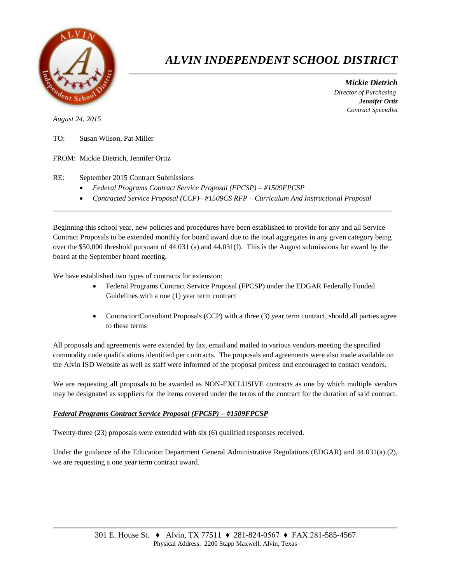

## *ALVIN INDEPENDENT SCHOOL DISTRICT*

 *Mickie Dietrich Director of Purchasing Jennifer Ortiz Contract Specialist*

*August 24, 2015*

TO: Susan Wilson, Pat Miller

FROM: Mickie Dietrich, Jennifer Ortiz

RE: September 2015 Contract Submissions

- *Federal Programs Contract Service Proposal (FPCSP) – #1509FPCSP*
- *Contracted Service Proposal (CCP)– #1509CS RFP – Curriculum And Instructional Proposal*  $\overline{a}$  , and the contribution of the contribution of the contribution of the contribution of the contribution of the contribution of the contribution of the contribution of the contribution of the contribution of the co

Beginning this school year, new policies and procedures have been established to provide for any and all Service Contract Proposals to be extended monthly for board award due to the total aggregates in any given category being over the \$50,000 threshold pursuant of 44.031 (a) and 44.031(f). This is the August submissions for award by the board at the September board meeting.

We have established two types of contracts for extension:

- Federal Programs Contract Service Proposal (FPCSP) under the EDGAR Federally Funded Guidelines with a one (1) year term contract
- Contractor/Consultant Proposals (CCP) with a three (3) year term contract, should all parties agree to these terms

All proposals and agreements were extended by fax, email and mailed to various vendors meeting the specified commodity code qualifications identified per contracts. The proposals and agreements were also made available on the Alvin ISD Website as well as staff were informed of the proposal process and encouraged to contact vendors.

We are requesting all proposals to be awarded as NON-EXCLUSIVE contracts as one by which multiple vendors may be designated as suppliers for the items covered under the terms of the contract for the duration of said contract.

## *Federal Programs Contract Service Proposal (FPCSP) – #1509FPCSP*

Twenty-three (23) proposals were extended with six (6) qualified responses received.

Under the guidance of the Education Department General Administrative Regulations (EDGAR) and 44.031(a) (2), we are requesting a one year term contract award.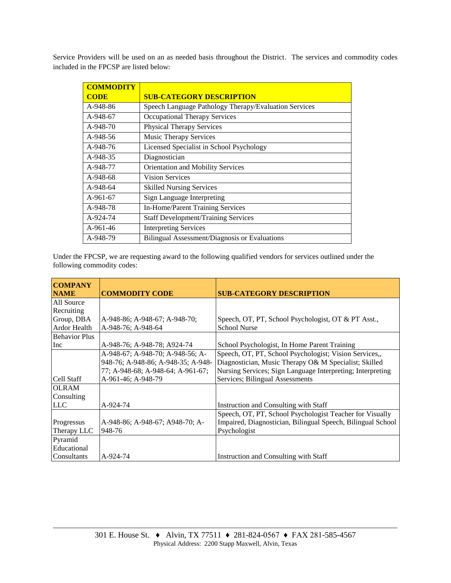Service Providers will be used on an as needed basis throughout the District. The services and commodity codes included in the FPCSP are listed below:

| <b>COMMODITY</b> |                                                       |
|------------------|-------------------------------------------------------|
| <b>CODE</b>      | <b>SUB-CATEGORY DESCRIPTION</b>                       |
| A-948-86         | Speech Language Pathology Therapy/Evaluation Services |
| A-948-67         | <b>Occupational Therapy Services</b>                  |
| A-948-70         | <b>Physical Therapy Services</b>                      |
| $A-948-56$       | <b>Music Therapy Services</b>                         |
| A-948-76         | Licensed Specialist in School Psychology              |
| A-948-35         | Diagnostician                                         |
| A-948-77         | Orientation and Mobility Services                     |
| A-948-68         | <b>Vision Services</b>                                |
| A-948-64         | <b>Skilled Nursing Services</b>                       |
| $A-961-67$       | Sign Language Interpreting                            |
| A-948-78         | In-Home/Parent Training Services                      |
| A-924-74         | <b>Staff Development/Training Services</b>            |
| $A-961-46$       | <b>Interpreting Services</b>                          |
| A-948-79         | <b>Bilingual Assessment/Diagnosis or Evaluations</b>  |

Under the FPCSP, we are requesting award to the following qualified vendors for services outlined under the following commodity codes:

| <b>COMPANY</b>       |                                    |                                                             |  |
|----------------------|------------------------------------|-------------------------------------------------------------|--|
| <b>NAME</b>          | <b>COMMODITY CODE</b>              | <b>SUB-CATEGORY DESCRIPTION</b>                             |  |
| All Source           |                                    |                                                             |  |
| Recruiting           |                                    |                                                             |  |
| Group, DBA           | A-948-86; A-948-67; A-948-70;      | Speech, OT, PT, School Psychologist, OT & PT Asst.,         |  |
| Ardor Health         | A-948-76; A-948-64                 | <b>School Nurse</b>                                         |  |
| <b>Behavior Plus</b> |                                    |                                                             |  |
| Inc                  | A-948-76; A-948-78; A924-74        | School Psychologist, In Home Parent Training                |  |
|                      | A-948-67; A-948-70; A-948-56; A-   | Speech, OT, PT, School Psychologist; Vision Services,,      |  |
|                      | 948-76; A-948-86; A-948-35; A-948- | Diagnostician, Music Therapy O& M Specialist; Skilled       |  |
|                      | 77; A-948-68; A-948-64; A-961-67;  | Nursing Services; Sign Language Interpreting; Interpreting  |  |
| Cell Staff           | A-961-46; A-948-79                 | Services; Bilingual Assessments                             |  |
| <b>OLRAM</b>         |                                    |                                                             |  |
| Consulting           |                                    |                                                             |  |
| <b>LLC</b>           | A-924-74                           | Instruction and Consulting with Staff                       |  |
|                      |                                    | Speech, OT, PT, School Psychologist Teacher for Visually    |  |
| Progressus           | A-948-86; A-948-67; A948-70; A-    | Impaired, Diagnostician, Bilingual Speech, Bilingual School |  |
| Therapy LLC          | 948-76                             | Psychologist                                                |  |
| Pyramid              |                                    |                                                             |  |
| Educational          |                                    |                                                             |  |
| Consultants          | A-924-74                           | Instruction and Consulting with Staff                       |  |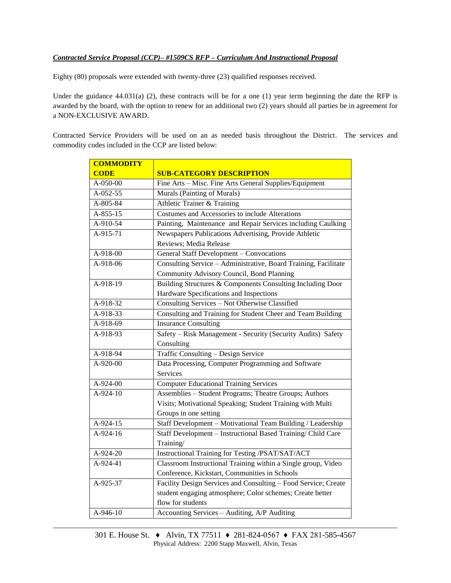## *Contracted Service Proposal (CCP)– #1509CS RFP – Curriculum And Instructional Proposal*

Eighty (80) proposals were extended with twenty-three (23) qualified responses received.

Under the guidance 44.031(a) (2), these contracts will be for a one (1) year term beginning the date the RFP is awarded by the board, with the option to renew for an additional two (2) years should all parties be in agreement for a NON-EXCLUSIVE AWARD.

Contracted Service Providers will be used on an as needed basis throughout the District. The services and commodity codes included in the CCP are listed below:

| <b>COMMODITY</b> |                                                                 |  |  |
|------------------|-----------------------------------------------------------------|--|--|
| <b>CODE</b>      | <b>SUB-CATEGORY DESCRIPTION</b>                                 |  |  |
| A-050-00         | Fine Arts - Misc. Fine Arts General Supplies/Equipment          |  |  |
| A-052-55         | Murals (Painting of Murals)                                     |  |  |
| A-805-84         | Athletic Trainer & Training                                     |  |  |
| A-855-15         | Costumes and Accessories to include Alterations                 |  |  |
| A-910-54         | Painting, Maintenance and Repair Services including Caulking    |  |  |
| A-915-71         | Newspapers Publications Advertising, Provide Athletic           |  |  |
|                  | Reviews; Media Release                                          |  |  |
| A-918-00         | General Staff Development - Convocations                        |  |  |
| A-918-06         | Consulting Service - Administrative, Board Training, Facilitate |  |  |
|                  | Community Advisory Council, Bond Planning                       |  |  |
| A-918-19         | Building Structures & Components Consulting Including Door      |  |  |
|                  | Hardware Specifications and Inspections                         |  |  |
| A-918-32         | Consulting Services - Not Otherwise Classified                  |  |  |
| A-918-33         | Consulting and Training for Student Cheer and Team Building     |  |  |
| A-918-69         | <b>Insurance Consulting</b>                                     |  |  |
| A-918-93         | Safety - Risk Management - Security (Security Audits) Safety    |  |  |
|                  | Consulting                                                      |  |  |
| A-918-94         | Traffic Consulting - Design Service                             |  |  |
| A-920-00         | Data Processing, Computer Programming and Software              |  |  |
|                  | Services                                                        |  |  |
| A-924-00         | <b>Computer Educational Training Services</b>                   |  |  |
| A-924-10         | Assemblies - Student Programs; Theatre Groups; Authors          |  |  |
|                  | Visits; Motivational Speaking; Student Training with Multi      |  |  |
|                  | Groups in one setting                                           |  |  |
| A-924-15         | Staff Development - Motivational Team Building / Leadership     |  |  |
| A-924-16         | Staff Development - Instructional Based Training/ Child Care    |  |  |
|                  | Training/                                                       |  |  |
| A-924-20         | Instructional Training for Testing /PSAT/SAT/ACT                |  |  |
| A-924-41         | Classroom Instructional Training within a Single group, Video   |  |  |
|                  | Conference, Kickstart, Communities in Schools                   |  |  |
| A-925-37         | Facility Design Services and Consulting - Food Service; Create  |  |  |
|                  | student engaging atmosphere; Color schemes; Create better       |  |  |
|                  | flow for students                                               |  |  |
| A-946-10         | Accounting Services - Auditing, A/P Auditing                    |  |  |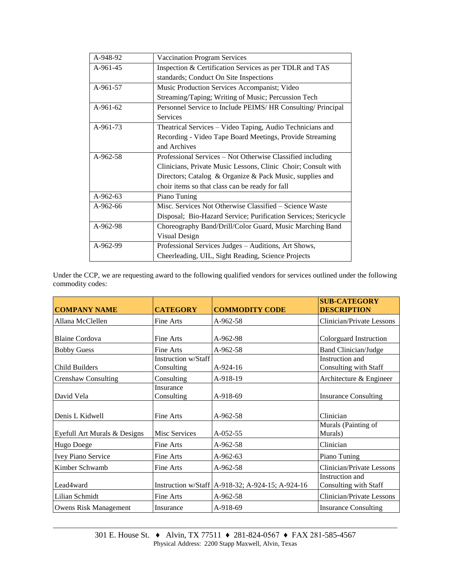| A-948-92   | <b>Vaccination Program Services</b>                             |  |  |
|------------|-----------------------------------------------------------------|--|--|
| A-961-45   | Inspection & Certification Services as per TDLR and TAS         |  |  |
|            | standards; Conduct On Site Inspections                          |  |  |
| A-961-57   | Music Production Services Accompanist; Video                    |  |  |
|            | Streaming/Taping; Writing of Music; Percussion Tech             |  |  |
| A-961-62   | Personnel Service to Include PEIMS/ HR Consulting/ Principal    |  |  |
|            | <b>Services</b>                                                 |  |  |
| A-961-73   | Theatrical Services - Video Taping, Audio Technicians and       |  |  |
|            | Recording - Video Tape Board Meetings, Provide Streaming        |  |  |
|            | and Archives                                                    |  |  |
| $A-962-58$ | Professional Services – Not Otherwise Classified including      |  |  |
|            | Clinicians, Private Music Lessons, Clinic Choir; Consult with   |  |  |
|            | Directors; Catalog & Organize & Pack Music, supplies and        |  |  |
|            | choir items so that class can be ready for fall                 |  |  |
| A-962-63   | Piano Tuning                                                    |  |  |
| $A-962-66$ | Misc. Services Not Otherwise Classified – Science Waste         |  |  |
|            | Disposal; Bio-Hazard Service; Purification Services; Stericycle |  |  |
| A-962-98   | Choreography Band/Drill/Color Guard, Music Marching Band        |  |  |
|            | Visual Design                                                   |  |  |
| A-962-99   | Professional Services Judges - Auditions, Art Shows,            |  |  |
|            | Cheerleading, UIL, Sight Reading, Science Projects              |  |  |

Under the CCP, we are requesting award to the following qualified vendors for services outlined under the following commodity codes:

| <b>COMPANY NAME</b>          | <b>CATEGORY</b>                   | <b>COMMODITY CODE</b>                              | <b>SUB-CATEGORY</b><br><b>DESCRIPTION</b> |
|------------------------------|-----------------------------------|----------------------------------------------------|-------------------------------------------|
| Allana McClellen             | Fine Arts                         | $A-962-58$                                         | Clinician/Private Lessons                 |
| <b>Blaine Cordova</b>        | Fine Arts                         | A-962-98                                           | Colorguard Instruction                    |
| <b>Bobby Guess</b>           | Fine Arts                         | A-962-58                                           | <b>Band Clinician/Judge</b>               |
| Child Builders               | Instruction w/Staff<br>Consulting | $A-924-16$                                         | Instruction and<br>Consulting with Staff  |
| <b>Crenshaw Consulting</b>   | Consulting                        | A-918-19                                           | Architecture & Engineer                   |
| David Vela                   | Insurance<br>Consulting           | A-918-69                                           | <b>Insurance Consulting</b>               |
| Denis L Kidwell              | Fine Arts                         | $A-962-58$                                         | Clinician                                 |
| Eyefull Art Murals & Designs | Misc Services                     | A-052-55                                           | Murals (Painting of<br>Murals)            |
| Hugo Doege                   | Fine Arts                         | A-962-58                                           | Clinician                                 |
| Ivey Piano Service           | Fine Arts                         | $A-962-63$                                         | Piano Tuning                              |
| Kimber Schwamb               | Fine Arts                         | A-962-58                                           | Clinician/Private Lessons                 |
| Lead4ward                    |                                   | Instruction w/Staff   A-918-32; A-924-15; A-924-16 | Instruction and<br>Consulting with Staff  |
| Lilian Schmidt               | Fine Arts                         | A-962-58                                           | Clinician/Private Lessons                 |
| <b>Owens Risk Management</b> | Insurance                         | A-918-69                                           | <b>Insurance Consulting</b>               |